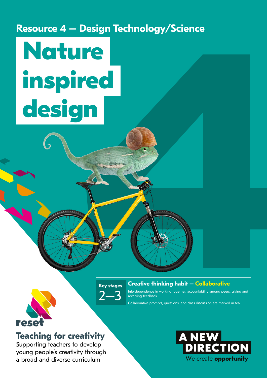**Resource 4 – Design Technology/Science** 

# Tech Independent of the Contract of the Contract of the Contract of the Contract of the Contract of the Contract of the Contract of the Contract of the Contract of the Contract of the Contract of the Contract of the Contra  **Nature inspired design**

**Key stages** 2–3

#### **Creative thinking habit – Collaborative**

Interdependence in working together, accountability among peers, giving and receiving feedback

Collaborative prompts, questions, and class discussion are marked in teal.



### **Teaching for creativity**

Supporting teachers to develop young people's creativity through a broad and diverse curriculum

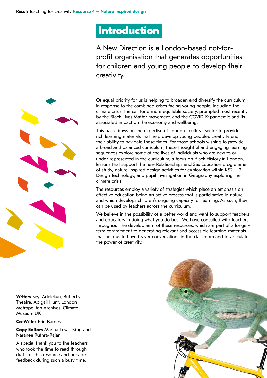## **Introduction**

A New Direction is a London-based not-forprofit organisation that generates opportunities for children and young people to develop their creativity.

Of equal priority for us is helping to broaden and diversify the curriculum in response to the combined crises facing young people, including the climate crisis, the call for a more equitable society, prompted most recently by the Black Lives Matter movement, and the COVID-19 pandemic and its associated impact on the economy and wellbeing.

This pack draws on the expertise of London's cultural sector to provide rich learning materials that help develop young people's creativity and their ability to navigate these times. For those schools wishing to provide a broad and balanced curriculum, these thoughtful and engaging learning sequences explore some of the lives of individuals who are new to or under-represented in the curriculum, a focus on Black History in London, lessons that support the new Relationships and Sex Education programme of study, nature-inspired design activities for exploration within  $KS2 - 3$ Design Technology, and pupil investigation in Geography exploring the climate crisis.

The resources employ a variety of strategies which place an emphasis on effective education being an active process that is participative in nature and which develops children's ongoing capacity for learning. As such, they can be used by teachers across the curriculum.

We believe in the possibility of a better world and want to support teachers and educators in doing what you do best. We have consulted with teachers throughout the development of these resources, which are part of a longerterm commitment to generating relevant and accessible learning materials that help us to have braver conversations in the classroom and to articulate the power of creativity.

**Writers** Seyi Adelekun, Butterfly Theatre, Abigail Hunt, London Metropolitan Archives, Climate Museum UK

**Co-Writer** Erin Barnes

**Copy Editors** Marina Lewis-King and Naranee Ruthra-Rajan

A special thank you to the teachers who took the time to read through drafts of this resource and provide feedback during such a busy time.



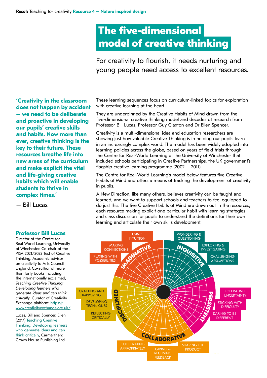## **The five-dimensional model of creative thinking**

For creativity to flourish, it needs nurturing and young people need access to excellent resources.

**'Creativity in the classroom does not happen by accident – we need to be deliberate and proactive in developing our pupils' creative skills and habits. Now more than ever, creative thinking is the key to their future. These resources breathe life into new areas of the curriculum and make explicit the vital and life-giving creative habits which will enable students to thrive in complex times.'**

– Bill Lucas

#### **Professor Bill Lucas**

Director of the Centre for Real-World Learning, University of Winchester. Co-chair of the PISA 2021/2022 Test of Creative Thinking. Academic advisor on creativity to Arts Council England. Co-author of more than forty books including the internationally acclaimed, *Teaching Creative Thinking: Developing learners who generate ideas and can think critically*. Curator of Creativity Exchange platform: [https://](https://www.creativityexchange.org.uk/) [www.creativityexchange.org.uk/](https://www.creativityexchange.org.uk/)

Lucas, Bill and Spencer, Ellen (2017) Teaching Creative [Thinking: Developing learners](https://www.hive.co.uk/Product/Lucas-Bill-Lucas/Teaching-Creative-Thinking---Developing-learners-who-gene/21745803)  [who generate ideas and can](https://www.hive.co.uk/Product/Lucas-Bill-Lucas/Teaching-Creative-Thinking---Developing-learners-who-gene/21745803)  [think critically](https://www.hive.co.uk/Product/Lucas-Bill-Lucas/Teaching-Creative-Thinking---Developing-learners-who-gene/21745803), Carmarthen: Crown House Publishing Ltd

These learning sequences focus on curriculum-linked topics for exploration with creative learning at the heart.

They are underpinned by the Creative Habits of Mind drawn from the five-dimensional creative thinking model and decades of research from Professor Bill Lucas, Professor Guy Claxton and Dr Ellen Spencer.

Creativity is a multi-dimensional idea and education researchers are showing just how valuable Creative Thinking is in helping our pupils learn in an increasingly complex world. The model has been widely adopted into learning policies across the globe, based on years of field trials through the Centre for Real-World Learning at the University of Winchester that included schools participating in Creative Partnerships, the UK government's flagship creative learning programme (2002 – 2011).

The Centre for Real-World Learning's model below features five Creative Habits of Mind and offers a means of tracking the development of creativity in pupils.

A New Direction, like many others, believes creativity can be taught and learned, and we want to support schools and teachers to feel equipped to do just this. The five Creative Habits of Mind are drawn out in the resources, each resource making explicit one particular habit with learning strategies and class discussion for pupils to understand the definitions for their own learning and articulate their own skills development.

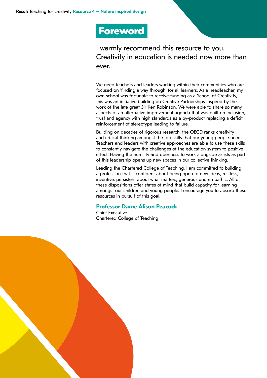## **Foreword**

I warmly recommend this resource to you. Creativity in education is needed now more than ever.

We need teachers and leaders working within their communities who are focused on 'finding a way through' for all learners. As a headteacher, my own school was fortunate to receive funding as a School of Creativity, this was an initiative building on Creative Partnerships inspired by the work of the late great Sir Ken Robinson. We were able to share so many aspects of an alternative improvement agenda that was built on inclusion, trust and agency with high standards as a by-product replacing a deficit reinforcement of stereotype leading to failure.

Building on decades of rigorous research, the OECD ranks creativity and critical thinking amongst the top skills that our young people need. Teachers and leaders with creative approaches are able to use these skills to constantly navigate the challenges of the education system to positive effect. Having the humility and openness to work alongside artists as part of this leadership opens up new spaces in our collective thinking.

Leading the Chartered College of Teaching, I am committed to building a profession that is confident about being open to new ideas, restless, inventive, persistent about what matters, generous and empathic. All of these dispositions offer states of mind that build capacity for learning amongst our children and young people. I encourage you to absorb these resources in pursuit of this goal.

#### **Professor Dame Alison Peacock**

Chief Executive Chartered College of Teaching

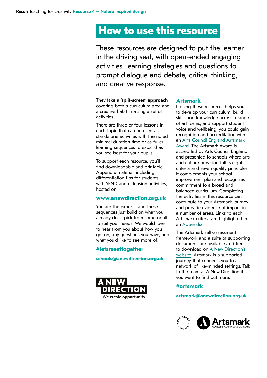## **How to use this resource**

These resources are designed to put the learner in the driving seat, with open-ended engaging activities, learning strategies and questions to prompt dialogue and debate, critical thinking, and creative response.

They take a **'split-screen' approach** covering both a curriculum area and a creative habit in a single set of activities.

There are three or four lessons in each topic that can be used as standalone activities with the noted minimal duration time or as fuller learning sequences to expand as you see best for your pupils.

To support each resource, you'll find downloadable and printable Appendix material, including differentiation tips for students with SEND and extension activities, hosted on

#### **www.anewdirection.org.uk**

You are the experts, and these sequences just build on what you already do – pick from some or all to suit your needs. We would love to hear from you about how you get on, any questions you have, and what you'd like to see more of!

#### **#letsresettogether**

#### **schools@anewdirection.org.uk**



#### **Artsmark**

If using these resources helps you to develop your curriculum, build skills and knowledge across a range of art forms, and support student voice and wellbeing, you could gain recognition and accreditation with an [Arts Council England Artsmark](https://www.artsmark.org.uk)  [Award.](https://www.artsmark.org.uk) The Artsmark Award is accredited by Arts Council England and presented to schools where arts and culture provision fulfils eight criteria and seven quality principles. It complements your school improvement plan and recognises commitment to a broad and balanced curriculum. Completing the activities in this resource can contribute to your Artsmark journey and provide evidence of impact in a number of areas. Links to each Artsmark criteria are highlighted in an [Appendix](https://www.anewdirection.org.uk/asset/4972/view).

The Artsmark self-assessment framework and a suite of supporting documents are available and free to download on [A New Direction's](https://www.anewdirection.org.uk/what-we-do/artsmark/artsmark-resources-and-supporting-documents)  [website.](https://www.anewdirection.org.uk/what-we-do/artsmark/artsmark-resources-and-supporting-documents) Artsmark is a supported journey that connects you to a network of like-minded settings. Talk to the team at A New Direction if you want to find out more.

#### **#artsmark**

#### **artsmark@anewdirection.org.uk**

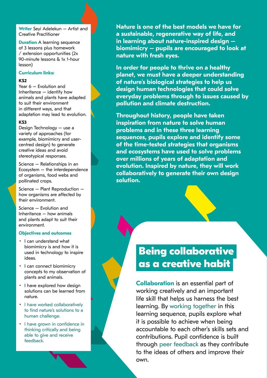**Writer** Seyi Adelekun – Artist and Creative Practitioner

**Duration** A learning sequence of 3 lessons plus homework / extension opportunities (2x 90-minute lessons & 1x 1-hour lesson)

#### **Curriculum links:**

#### **KS2**

Year 6 – Evolution and Inheritance – identify how animals and plants have adapted to suit their environment in different ways, and that adaptation may lead to evolution.

#### **KS3**

Design Technology – use a variety of approaches (for example, biomimicry and usercentred design) to generate creative ideas and avoid stereotypical responses.

Science – Relationships in an Ecosystem – the interdependence of organisms, food webs and pollinated crops.

Science – Plant Reproduction – how organisms are affected by their environment.

Science – Evolution and Inheritance – how animals and plants adapt to suit their environment.

#### **Objectives and outcomes**

- I can understand what biomimicry is and how it is used in technology to inspire ideas.
- I can connect biomimicry concepts to my observation of plants and animals.
- I have explored how design solutions can be learned from nature.
- I have worked collaboratively to find nature's solutions to a human challenge.
- I have grown in confidence in thinking critically and being able to give and receive feedback.

**Nature is one of the best models we have for a sustainable, regenerative way of life, and in learning about nature-inspired design – biomimicry – pupils are encouraged to look at nature with fresh eyes.** 

**In order for people to thrive on a healthy planet, we must have a deeper understanding of nature's biological strategies to help us design human technologies that could solve everyday problems through to issues caused by pollution and climate destruction.**

**Throughout history, people have taken inspiration from nature to solve human problems and in these three learning sequences, pupils explore and identify some of the time-tested strategies that organisms and ecosystems have used to solve problems over millions of years of adaptation and evolution. Inspired by nature, they will work collaboratively to generate their own design solution.**

## **Being collaborative as a creative habit**

**Collaboration** is an essential part of working creatively and an important life skill that helps us harness the best learning. By working together in this learning sequence, pupils explore what it is possible to achieve when being accountable to each other's skills sets and contributions. Pupil confidence is built through peer feedback as they contribute to the ideas of others and improve their own.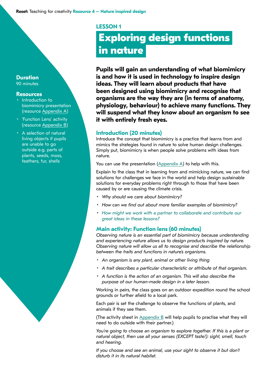#### **LESSON 1**

# **Exploring design functions in nature**

**Pupils will gain an understanding of what biomimicry is and how it is used in technology to inspire design ideas. They will learn about products that have been designed using biomimicry and recognise that organisms are the way they are (in terms of anatomy, physiology, behaviour) to achieve many functions. They will suspend what they know about an organism to see it with entirely fresh eyes.**

#### **Introduction (20 minutes)**

Introduce the concept that biomimicry is a practice that learns from and mimics the strategies found in nature to solve human design challenges. Simply put, biomimicry is when people solve problems with ideas from nature.

You can use the presentation  $(Appendix A)$  $(Appendix A)$  $(Appendix A)$  to help with this.

Explain to the class that in learning from and mimicking nature, we can find solutions for challenges we face in the world and help design sustainable solutions for everyday problems right through to those that have been caused by or are causing the climate crisis.

- *Why should we care about biomimicry?*
- *How can we find out about more familiar examples of biomimicry?*
- *How might we work with a partner to collaborate and contribute our great ideas in these lessons?*

#### **Main activity: Function lens (60 minutes)**

*Observing nature is an essential part of biomimicry because understanding and experiencing nature allows us to design products inspired by nature. Observing nature will allow us all to recognise and describe the relationship between the traits and functions in nature's organisms.*

- *An organism is any plant, animal or other living thing*
- *A trait describes a particular characteristic or attribute of that organism.*
- *A function is the action of an organism. This will also describe the purpose of our human-made design in a later lesson.*

Working in pairs, the class goes on an outdoor expedition round the school grounds or further afield to a local park.

Each pair is set the challenge to observe the functions of plants, and animals if they see them.

(The activity sheet in [Appendix B](https://www.anewdirection.org.uk/asset/5075/download) will help pupils to practise what they will need to do outside with their partner.)

*You're going to choose an organism to explore together. If this is a plant or natural object, then use all your senses (EXCEPT taste!): sight, smell, touch and hearing.* 

If you choose and see an animal, use your sight to observe it but don't *disturb it in its natural habitat.* 

#### **Duration**  90 minutes

#### **Resources**

- Introduction to biomimicry presentation (resource [Appendix A\)](https://www.anewdirection.org.uk/asset/5074/download)
- 'Function Lens' activity (resource [Appendix B](https://www.anewdirection.org.uk/asset/5075/download))
- A selection of natural living objects if pupils are unable to go outside e.g. parts of plants, seeds, moss, feathers, fur, shells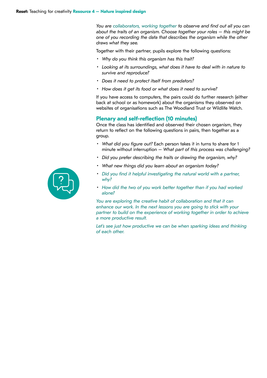*You are collaborators, working together to observe and find out all you can about the traits of an organism. Choose together your roles – this might be one of you recording the data that describes the organism while the other draws what they see.* 

Together with their partner, pupils explore the following questions:

- *Why do you think this organism has this trait?*
- *Looking at its surroundings, what does it have to deal with in nature to survive and reproduce?*
- *Does it need to protect itself from predators?*
- *How does it get its food or what does it need to survive?*

If you have access to computers, the pairs could do further research (either back at school or as homework) about the organisms they observed on websites of organisations such as The Woodland Trust or Wildlife Watch.

#### **Plenary and self-reflection (10 minutes)**

Once the class has identified and observed their chosen organism, they return to reflect on the following questions in pairs, then together as a group.

- *What did you figure out?* Each person takes it in turns to share for 1 minute without interruption *– What part of this process was challenging?*
- *Did you prefer describing the traits or drawing the organism, why?*
- *What new things did you learn about an organism today?*
- *Did you find it helpful investigating the natural world with a partner, why?*
- *How did the two of you work better together than if you had worked alone?*

*You are exploring the creative habit of collaboration and that it can enhance our work. In the next lessons you are going to stick with your partner to build on the experience of working together in order to achieve a more productive result.* 

Let's see just how productive we can be when sparking ideas and thinking *of each other.*

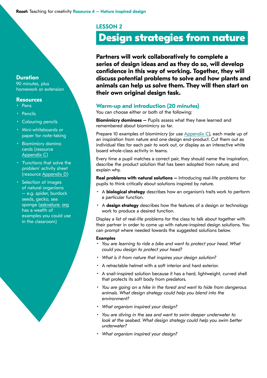#### **LESSON 2**

## **Design strategies from nature**

**Partners will work collaboratively to complete a series of design ideas and as they do so, will develop confidence in this way of working. Together, they will discuss potential problems to solve and how plants and animals can help us solve them. They will then start on their own original design task.** 

#### **Warm-up and introduction (20 minutes)**

You can choose either or both of the following:

**Biomimicry dominoes –** Pupils assess what they have learned and remembered about biomimicry so far.

Prepare 10 examples of biomimicry (or use [Appendix C\)](https://www.anewdirection.org.uk/asset/5076/view), each made up of an inspiration from nature and one design end-product. Cut them out as individual tiles for each pair to work out, or display as an interactive white board whole-class activity in teams.

Every time a pupil matches a correct pair, they should name the inspiration, describe the product solution that has been adopted from nature, and explain why.

**Real problems with natural solutions –** Introducing real-life problems for pupils to think critically about solutions inspired by nature.

- A **biological strategy** describes how an organism's traits work to perform a particular function.
- A **design strategy** describes how the features of a design or technology work to produce a desired function.

Display a list of real-life problems for the class to talk about together with their partner in order to come up with nature-inspired design solutions. You can prompt where needed towards the suggested solutions below.

#### **Examples**

- *You are learning to ride a bike and want to protect your head. What could you design to protect your head?*
- *What is it from nature that inspires your design solution?*
- A retractable helmet with a soft interior and hard exterior.
- A snail-inspired solution because it has a hard, lightweight, curved shell that protects its soft body from predators.
- *You are going on a hike in the forest and want to hide from dangerous animals. What design strategy could help you blend into the environment?*
- *What organism inspired your design?*
- *You are diving in the sea and want to swim deeper underwater to look at the seabed. What design strategy could help you swim better underwater?*
- *What organism inspired your design?*

#### **Duration**

90 minutes, plus homework or extension

#### **Resources**

- Pens
- Pencils
- Colouring pencils
- Mini-whiteboards or paper for note-taking
- Biomimicry domino cards (resource [Appendix C\)](https://www.anewdirection.org.uk/asset/5076/view)
- 'Functions that solve the problem' activity sheet (resource [Appendix D\)](https://www.anewdirection.org.uk/asset/5077/download)
- Selection of images of natural organisms – e.g. spider, burdock seeds, gecko, sea sponge ([asknature.](https://asknature.org) [org](https://asknature.org) has a wealth of examples you could use in the classroom)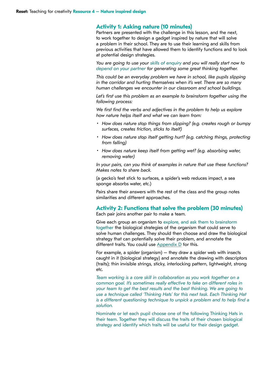#### **Activity 1: Asking nature (10 minutes)**

Partners are presented with the challenge in this lesson, and the next, to work together to design a gadget inspired by nature that will solve a problem in their school. They are to use their learning and skills from previous activities that have allowed them to identify functions and to look at potential design strategies.

*You are going to use your skills of enquiry and you will really start now to depend on your partner for generating some great thinking together.* 

*This could be an everyday problem we have in school, like pupils slipping in the corridor and hurting themselves when it's wet. There are so many human challenges we encounter in our classroom and school buildings.*

Let's first use this problem as an example to brainstorm together using the *following process:*

*We first find the verbs and adjectives in the problem to help us explore how nature helps itself and what we can learn from:*

- *How does nature stop things from slipping? (e.g. creates rough or bumpy surfaces, creates friction, sticks to itself)*
- *How does nature stop itself getting hurt? (e.g. catching things, protecting from falling)*
- *How does nature keep itself from getting wet? (e.g. absorbing water, removing water)*

*In your pairs, can you think of examples in nature that use these functions? Makes notes to share back.*

(a gecko's feet stick to surfaces, a spider's web reduces impact, a sea sponge absorbs water, etc.)

Pairs share their answers with the rest of the class and the group notes similarities and different approaches.

#### **Activity 2: Functions that solve the problem (30 minutes)**

Each pair joins another pair to make a team.

Give each group an organism to explore, and ask them to brainstorm together the biological strategies of the organism that could serve to solve human challenges. They should then choose and draw the biological strategy that can potentially solve their problem, and annotate the different traits. You could use  $\Delta p$  pendix  $D$  for this.

For example, a spider (organism) – they draw a spider web with insects caught in it (biological strategy) and annotate the drawing with descriptors (traits); thin invisible strings, sticky, interlocking pattern, lightweight, strong etc.

*Team working is a core skill in collaboration as you work together on a common goal. It's sometimes really effective to take on different roles in your team to get the best results and the best thinking. We are going to use a technique called 'Thinking Hats' for this next task. Each Thinking Hat is a different questioning technique to unpick a problem and to help find a solution.* 

Nominate or let each pupil choose one of the following Thinking Hats in their team. Together they will discuss the traits of their chosen biological strategy and identify which traits will be useful for their design gadget.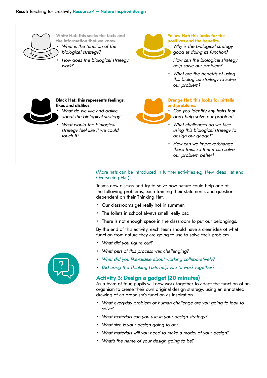#### **Reset:** Teaching for creativity **Resource 4 – Nature inspired design**



**White Hat: this seeks the facts and the information that we know.**  • *What is the function of the biological strategy?*

• *How does the biological strategy work?*



#### **Yellow Hat: this looks for the positives and the benefits.**

- *Why is the biological strategy good at doing its function?*
- *How can the biological strategy help solve our problem?*
- *What are the benefits of using this biological strategy to solve our problem?*



#### **Black Hat: this represents feelings, likes and dislikes.**

- *What do we like and dislike about the biological strategy?*
- *What would the biological strategy feel like if we could touch it?*

#### **Orange Hat: this looks for pitfalls and problems.**

- *Can you identify any traits that don't help solve our problem?*
- *What challenges do we face using this biological strategy to design our gadget?*
- *How can we improve/change these traits so that it can solve our problem better?*

#### (More hats can be introduced in further activities e.g. New Ideas Hat and Overseeing Hat)

Teams now discuss and try to solve how nature could help one of the following problems, each framing their statements and questions dependent on their Thinking Hat.

- Our classrooms get really hot in summer.
- The toilets in school always smell really bad.
- There is not enough space in the classroom to put our belongings.

By the end of this activity, each team should have a clear idea of what function from nature they are going to use to solve their problem.

- *What did you figure out?*
- *What part of this process was challenging?*
- *What did you like/dislike about working collaboratively?*
- *Did using the Thinking Hats help you to work together?*

#### **Activity 3: Design a gadget (20 minutes)**

As a team of four, pupils will now work together to adapt the function of an organism to create their own original design strategy, using an annotated drawing of an organism's function as inspiration.

- *What everyday problem or human challenge are you going to look to solve?*
- *What materials can you use in your design strategy?*
- *What size is your design going to be?*
- *What materials will you need to make a model of your design?*
- *What's the name of your design going to be?*

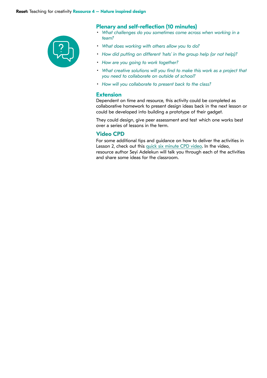

#### **Plenary and self-reflection (10 minutes)**

- *What challenges do you sometimes come across when working in a team?*
- *What does working with others allow you to do?*
- *How did putting on different 'hats' in the group help (or not help)?*
- *How are you going to work together?*
- *What creative solutions will you find to make this work as a project that you need to collaborate on outside of school?*
- *How will you collaborate to present back to the class?*

#### **Extension**

Dependent on time and resource, this activity could be completed as collaborative homework to present design ideas back in the next lesson or could be developed into building a prototype of their gadget.

They could design, give peer assessment and test which one works best over a series of lessons in the term.

#### **Video CPD**

For some additional tips and guidance on how to deliver the activities in Lesson 2, check out this [quick six minute CPD video](https://www.youtube.com/watch?v=QfjdOJ5q7HU&list=PLOe31xaijw1EbVt1ObNCnY3_yF_fGW8fr&index=2). In the video, resource author Seyi Adelekun will talk you through each of the activities and share some ideas for the classroom.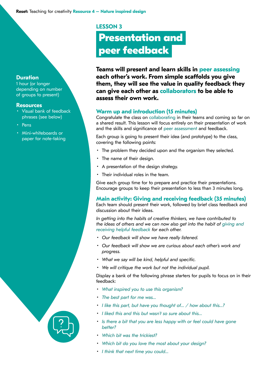**LESSON 3**

# **Presentation and peer feedback**

**Teams will present and learn skills in peer assessing each other's work. From simple scaffolds you give them, they will see the value in quality feedback they can give each other as collaborators to be able to assess their own work.** 

#### **Warm up and introduction (15 minutes)**

Congratulate the class on collaborating in their teams and coming so far on a shared result. This lesson will focus entirely on their presentation of work and the skills and significance of peer assessment and feedback.

Each group is going to present their idea (and prototype) to the class, covering the following points:

- The problem they decided upon and the organism they selected.
- The name of their design.
- A presentation of the design strategy.
- Their individual roles in the team.

Give each group time for to prepare and practice their presentations. Encourage groups to keep their presentation to less than 3 minutes long.

**Main activity: Giving and receiving feedback (35 minutes)**

Each team should present their work, followed by brief class feedback and discussion about their ideas.

*In getting into the habits of creative thinkers, we have contributed to the ideas of others and we can now also get into the habit of giving and receiving helpful feedback for each other.* 

- *• Our feedback will show we have really listened.*
- *• Our feedback will show we are curious about each other's work and progress.*
- *• What we say will be kind, helpful and specific.*
- *• We will critique the work but not the individual pupil.*

Display a bank of the following phrase starters for pupils to focus on in their feedback:

- *What inspired you to use this organism?*
- *The best part for me was…*
- *I like this part, but have you thought of… / how about this…?*
- *I liked this and this but wasn't so sure about this…*
- *Is there a bit that you are less happy with or feel could have gone better?*
- *Which bit was the trickiest?*
- *Which bit do you love the most about your design?*
- *I think that next time you could…*



#### **Resources**

**Duration**  1 hour (or longer

- Visual bank of feedback phrases (see below)
- Pens
- Mini-whiteboards or paper for note-taking

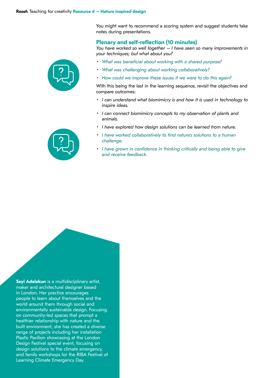You might want to recommend a scoring system and suggest students take notes during presentations.

#### **Plenary and self-reflection (10 minutes)**

*You have worked so well together – I have seen so many improvements in your techniques; but what about you?*

- *What was beneficial about working with a shared purpose?*
- *What was challenging about working collaboratively?*
- *How could we improve these issues if we were to do this again?*

With this being the last in the learning sequence, revisit the objectives and compare outcomes:

- *I can understand what biomimicry is and how it is used in technology to inspire ideas.*
- *I can connect biomimicry concepts to my observation of plants and animals.*
- *I have explored how design solutions can be learned from nature.*
- *I have worked collaboratively to find nature's solutions to a human challenge.*
- *I have grown in confidence in thinking critically and being able to give and receive feedback.*